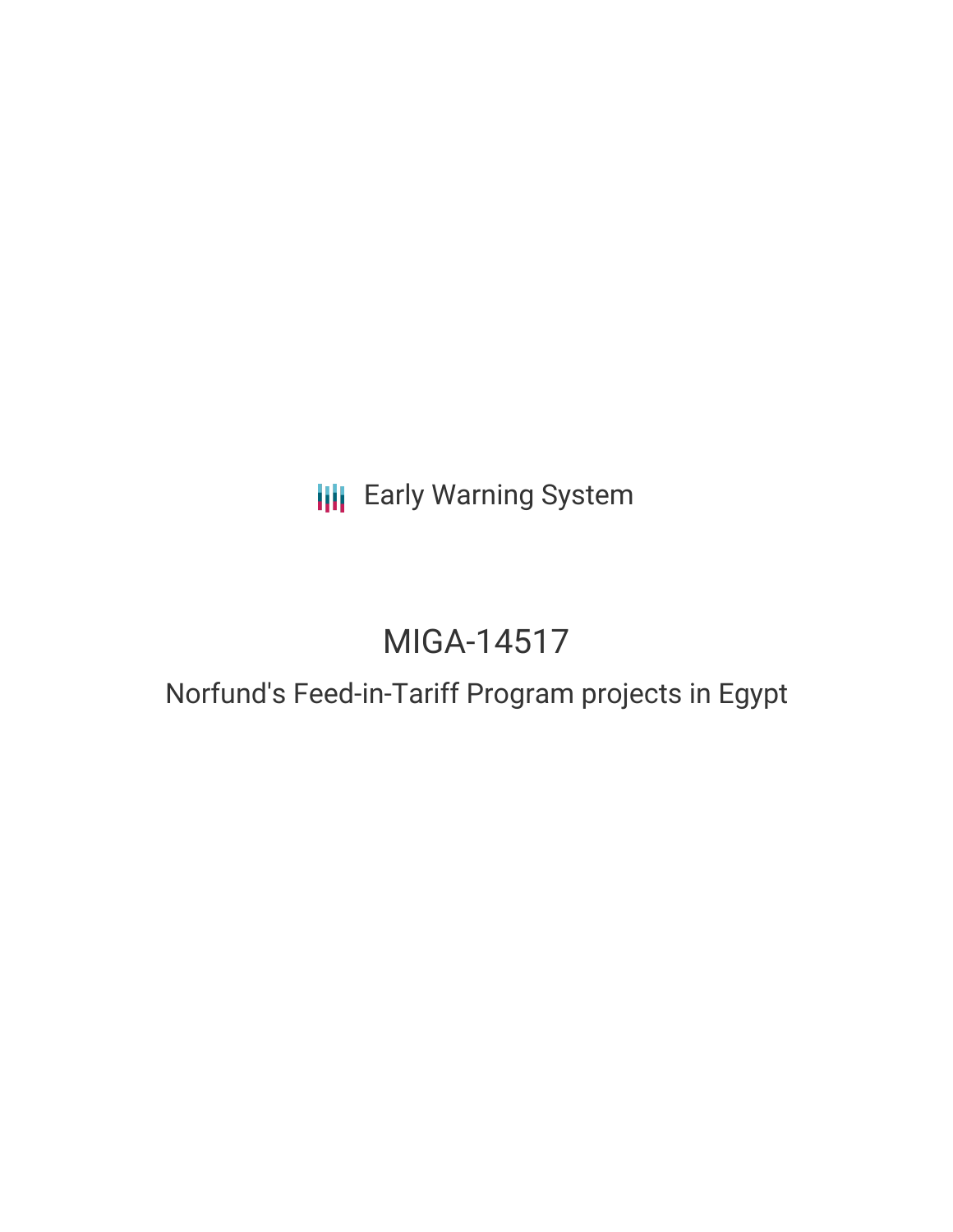# **III** Early Warning System

# MIGA-14517

### Norfund's Feed-in-Tariff Program projects in Egypt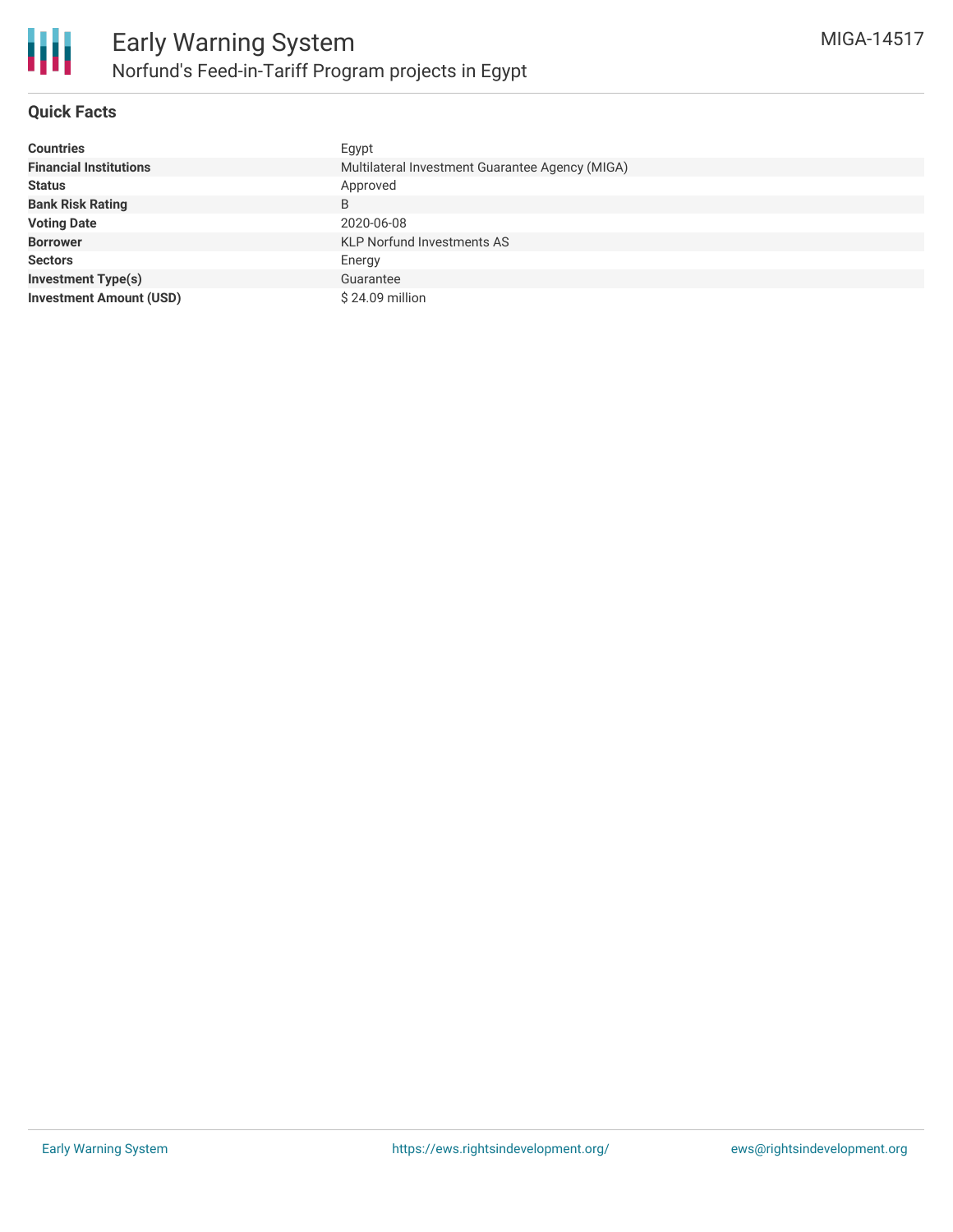

#### **Quick Facts**

| <b>Countries</b>               | Egypt                                           |  |  |  |
|--------------------------------|-------------------------------------------------|--|--|--|
| <b>Financial Institutions</b>  | Multilateral Investment Guarantee Agency (MIGA) |  |  |  |
| <b>Status</b>                  | Approved                                        |  |  |  |
| <b>Bank Risk Rating</b>        | B                                               |  |  |  |
| <b>Voting Date</b>             | 2020-06-08                                      |  |  |  |
| <b>Borrower</b>                | <b>KLP Norfund Investments AS</b>               |  |  |  |
| <b>Sectors</b>                 | Energy                                          |  |  |  |
| <b>Investment Type(s)</b>      | Guarantee                                       |  |  |  |
| <b>Investment Amount (USD)</b> | $$24.09$ million                                |  |  |  |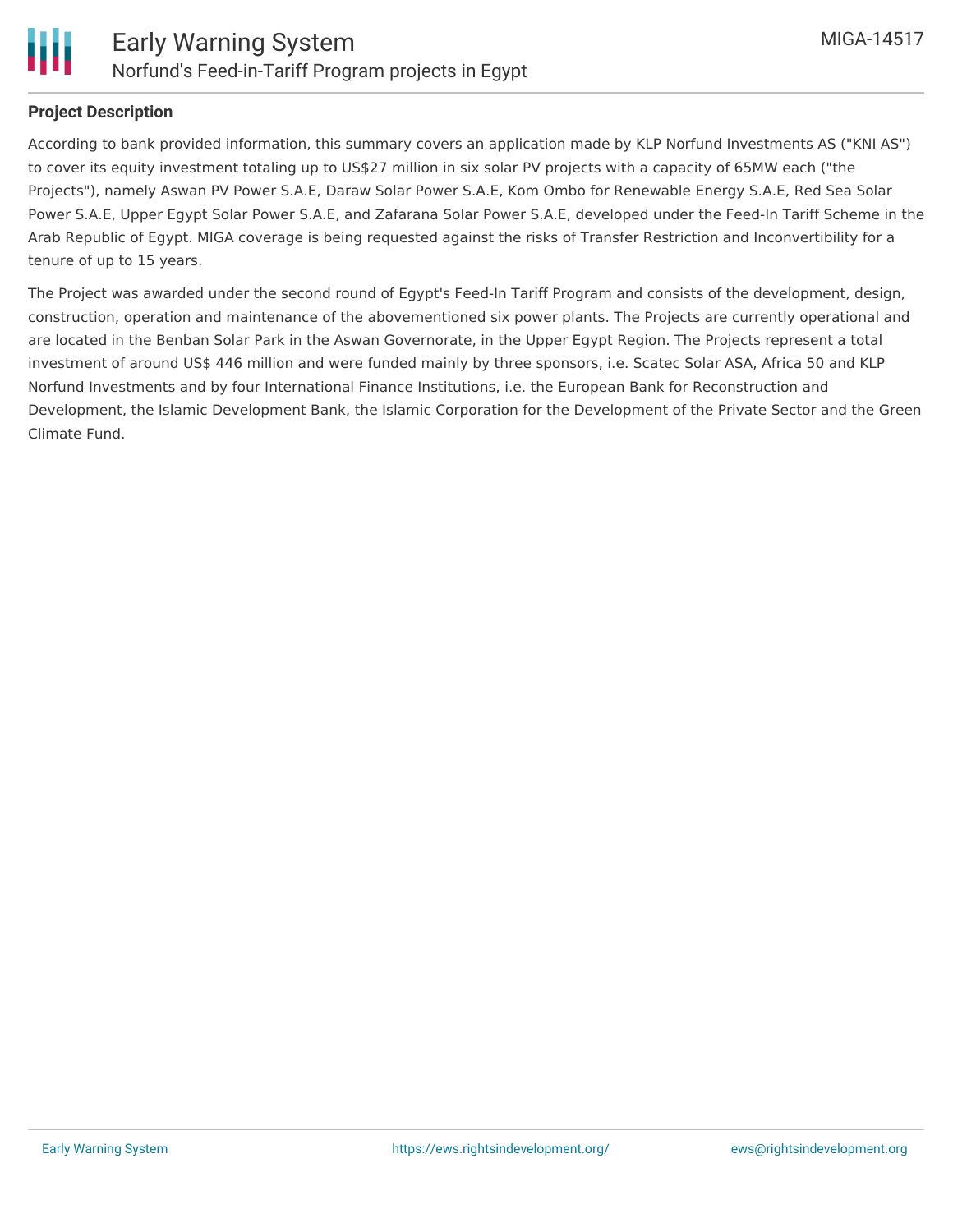

#### **Project Description**

According to bank provided information, this summary covers an application made by KLP Norfund Investments AS ("KNI AS") to cover its equity investment totaling up to US\$27 million in six solar PV projects with a capacity of 65MW each ("the Projects"), namely Aswan PV Power S.A.E, Daraw Solar Power S.A.E, Kom Ombo for Renewable Energy S.A.E, Red Sea Solar Power S.A.E, Upper Egypt Solar Power S.A.E, and Zafarana Solar Power S.A.E, developed under the Feed-In Tariff Scheme in the Arab Republic of Egypt. MIGA coverage is being requested against the risks of Transfer Restriction and Inconvertibility for a tenure of up to 15 years.

The Project was awarded under the second round of Egypt's Feed-In Tariff Program and consists of the development, design, construction, operation and maintenance of the abovementioned six power plants. The Projects are currently operational and are located in the Benban Solar Park in the Aswan Governorate, in the Upper Egypt Region. The Projects represent a total investment of around US\$ 446 million and were funded mainly by three sponsors, i.e. Scatec Solar ASA, Africa 50 and KLP Norfund Investments and by four International Finance Institutions, i.e. the European Bank for Reconstruction and Development, the Islamic Development Bank, the Islamic Corporation for the Development of the Private Sector and the Green Climate Fund.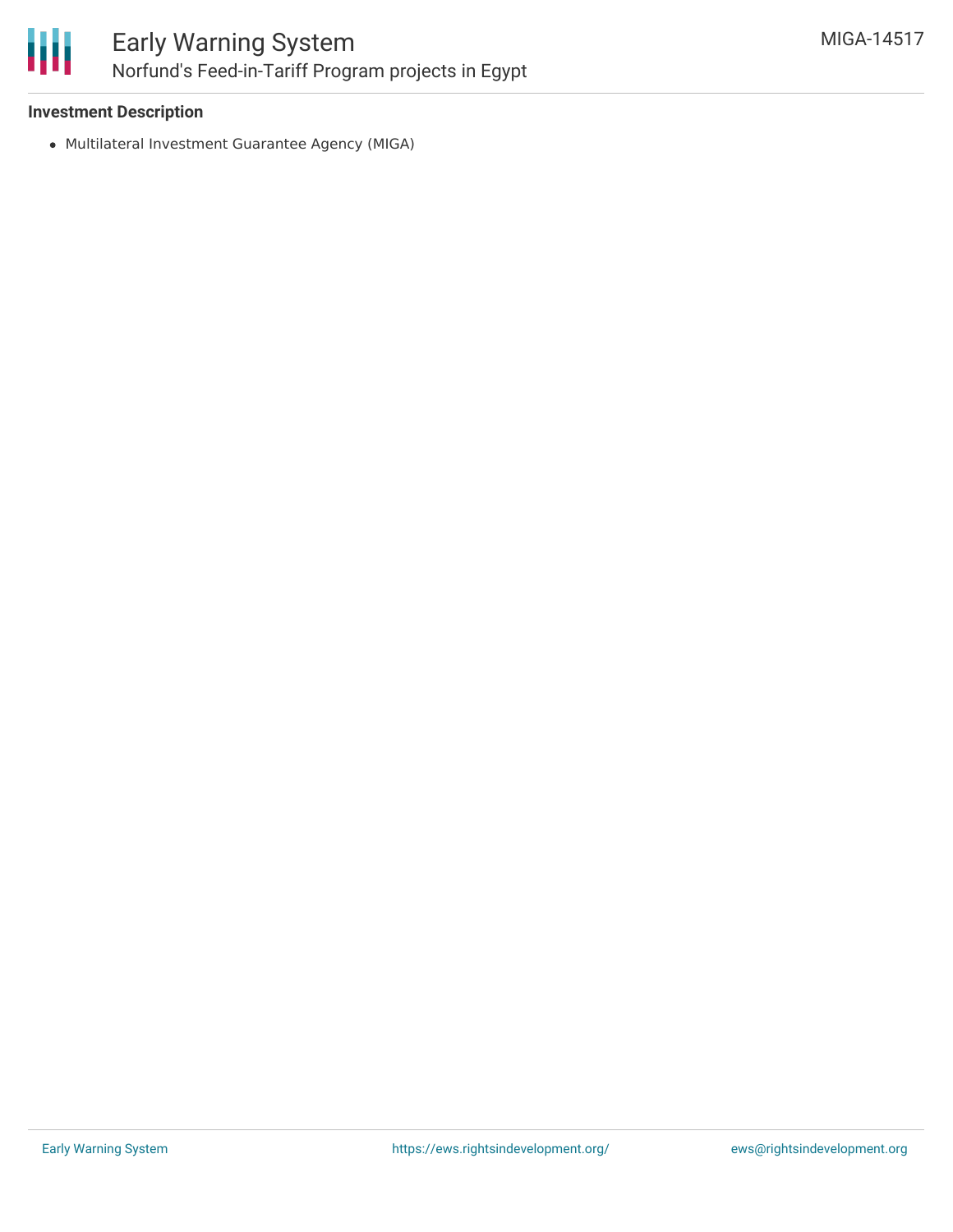

#### **Investment Description**

Multilateral Investment Guarantee Agency (MIGA)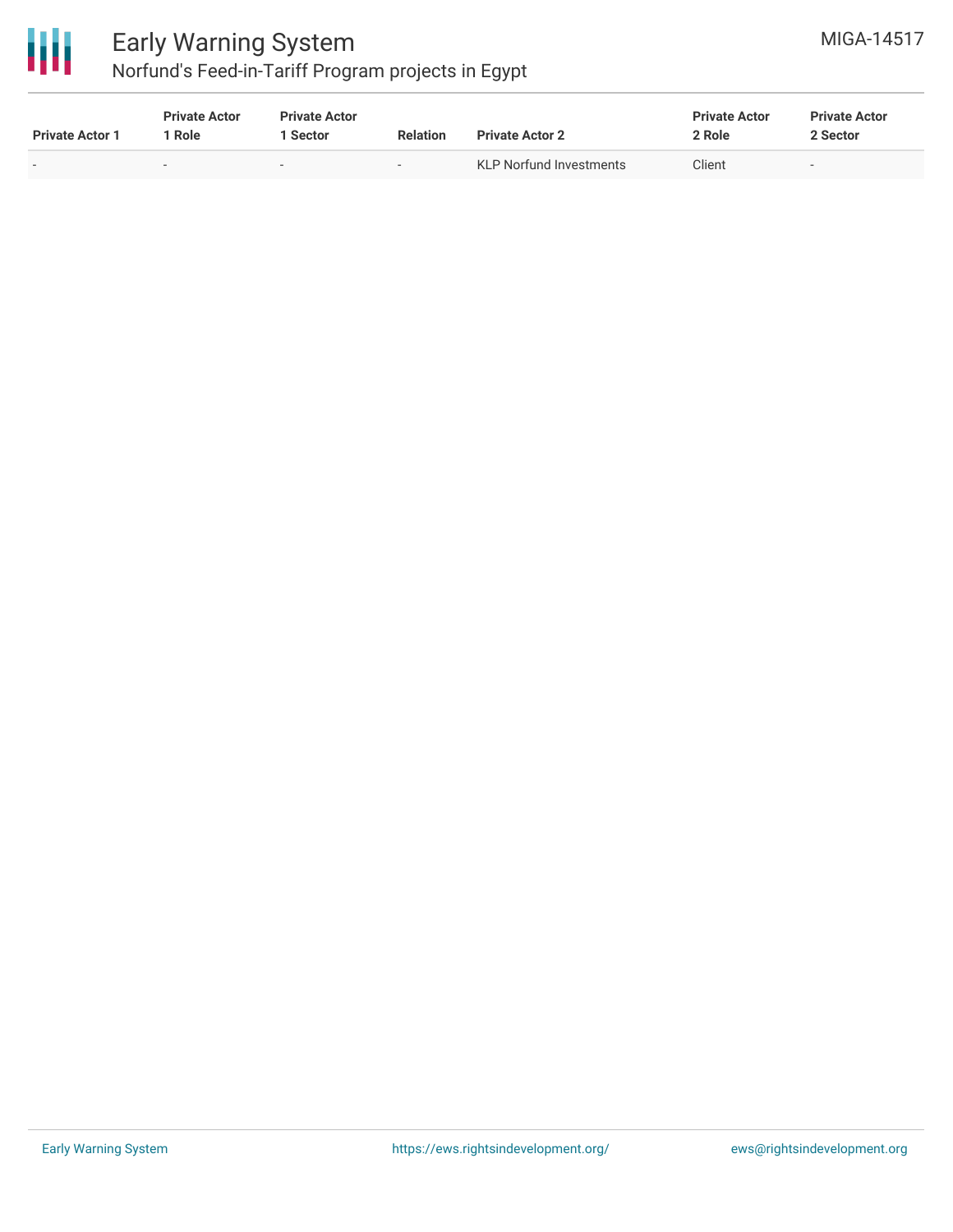

### Early Warning System Norfund's Feed-in-Tariff Program projects in Egypt

| MIGA-14517 |
|------------|
|            |

| <b>Private Actor 1</b>   | <b>Private Actor</b><br>` Role | <b>Private Actor</b><br>l Sector | <b>Relation</b>          | <b>Private Actor 2</b>         | <b>Private Actor</b><br>2 Role | <b>Private Actor</b><br>2 Sector |
|--------------------------|--------------------------------|----------------------------------|--------------------------|--------------------------------|--------------------------------|----------------------------------|
| $\overline{\phantom{0}}$ |                                |                                  | $\overline{\phantom{0}}$ | <b>KLP Norfund Investments</b> | Client                         | $\overline{\phantom{0}}$         |